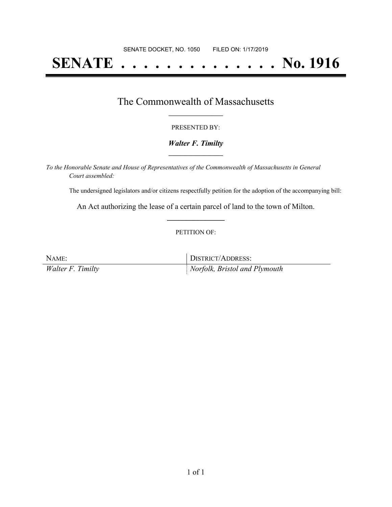# **SENATE . . . . . . . . . . . . . . No. 1916**

## The Commonwealth of Massachusetts **\_\_\_\_\_\_\_\_\_\_\_\_\_\_\_\_\_**

#### PRESENTED BY:

#### *Walter F. Timilty* **\_\_\_\_\_\_\_\_\_\_\_\_\_\_\_\_\_**

*To the Honorable Senate and House of Representatives of the Commonwealth of Massachusetts in General Court assembled:*

The undersigned legislators and/or citizens respectfully petition for the adoption of the accompanying bill:

An Act authorizing the lease of a certain parcel of land to the town of Milton. **\_\_\_\_\_\_\_\_\_\_\_\_\_\_\_**

#### PETITION OF:

| NAME:             | DISTRICT/ADDRESS:             |
|-------------------|-------------------------------|
| Walter F. Timilty | Norfolk, Bristol and Plymouth |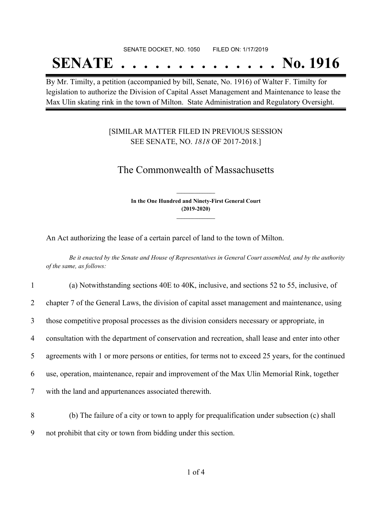#### SENATE DOCKET, NO. 1050 FILED ON: 1/17/2019

## **SENATE . . . . . . . . . . . . . . No. 1916**

By Mr. Timilty, a petition (accompanied by bill, Senate, No. 1916) of Walter F. Timilty for legislation to authorize the Division of Capital Asset Management and Maintenance to lease the Max Ulin skating rink in the town of Milton. State Administration and Regulatory Oversight.

### [SIMILAR MATTER FILED IN PREVIOUS SESSION SEE SENATE, NO. *1818* OF 2017-2018.]

## The Commonwealth of Massachusetts

**In the One Hundred and Ninety-First General Court (2019-2020) \_\_\_\_\_\_\_\_\_\_\_\_\_\_\_**

**\_\_\_\_\_\_\_\_\_\_\_\_\_\_\_**

An Act authorizing the lease of a certain parcel of land to the town of Milton.

Be it enacted by the Senate and House of Representatives in General Court assembled, and by the authority *of the same, as follows:*

| $\mathbf{1}$   | (a) Notwithstanding sections 40E to 40K, inclusive, and sections 52 to 55, inclusive, of           |
|----------------|----------------------------------------------------------------------------------------------------|
| $\overline{2}$ | chapter 7 of the General Laws, the division of capital asset management and maintenance, using     |
| 3              | those competitive proposal processes as the division considers necessary or appropriate, in        |
| 4              | consultation with the department of conservation and recreation, shall lease and enter into other  |
| 5              | agreements with 1 or more persons or entities, for terms not to exceed 25 years, for the continued |
| 6              | use, operation, maintenance, repair and improvement of the Max Ulin Memorial Rink, together        |
| $\tau$         | with the land and appurtenances associated therewith.                                              |
|                |                                                                                                    |

8 (b) The failure of a city or town to apply for prequalification under subsection (c) shall 9 not prohibit that city or town from bidding under this section.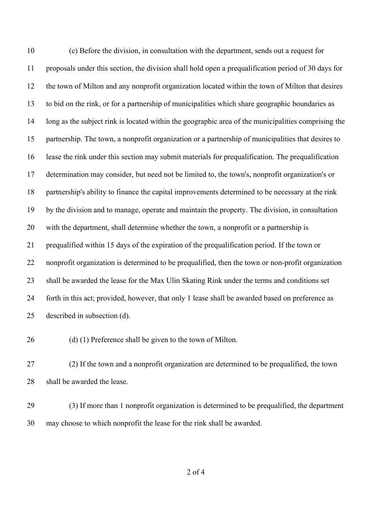(c) Before the division, in consultation with the department, sends out a request for proposals under this section, the division shall hold open a prequalification period of 30 days for the town of Milton and any nonprofit organization located within the town of Milton that desires to bid on the rink, or for a partnership of municipalities which share geographic boundaries as long as the subject rink is located within the geographic area of the municipalities comprising the partnership. The town, a nonprofit organization or a partnership of municipalities that desires to lease the rink under this section may submit materials for prequalification. The prequalification determination may consider, but need not be limited to, the town's, nonprofit organization's or partnership's ability to finance the capital improvements determined to be necessary at the rink by the division and to manage, operate and maintain the property. The division, in consultation with the department, shall determine whether the town, a nonprofit or a partnership is prequalified within 15 days of the expiration of the prequalification period. If the town or nonprofit organization is determined to be prequalified, then the town or non-profit organization shall be awarded the lease for the Max Ulin Skating Rink under the terms and conditions set forth in this act; provided, however, that only 1 lease shall be awarded based on preference as described in subsection (d).

26 (d) (1) Preference shall be given to the town of Milton.

 (2) If the town and a nonprofit organization are determined to be prequalified, the town shall be awarded the lease.

 (3) If more than 1 nonprofit organization is determined to be prequalified, the department may choose to which nonprofit the lease for the rink shall be awarded.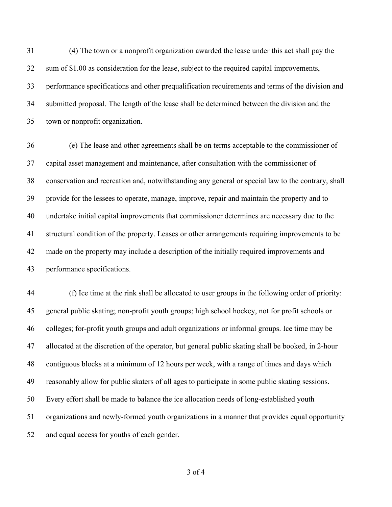(4) The town or a nonprofit organization awarded the lease under this act shall pay the sum of \$1.00 as consideration for the lease, subject to the required capital improvements, performance specifications and other prequalification requirements and terms of the division and submitted proposal. The length of the lease shall be determined between the division and the town or nonprofit organization.

 (e) The lease and other agreements shall be on terms acceptable to the commissioner of capital asset management and maintenance, after consultation with the commissioner of conservation and recreation and, notwithstanding any general or special law to the contrary, shall provide for the lessees to operate, manage, improve, repair and maintain the property and to undertake initial capital improvements that commissioner determines are necessary due to the structural condition of the property. Leases or other arrangements requiring improvements to be made on the property may include a description of the initially required improvements and performance specifications.

 (f) Ice time at the rink shall be allocated to user groups in the following order of priority: general public skating; non-profit youth groups; high school hockey, not for profit schools or colleges; for-profit youth groups and adult organizations or informal groups. Ice time may be allocated at the discretion of the operator, but general public skating shall be booked, in 2-hour contiguous blocks at a minimum of 12 hours per week, with a range of times and days which reasonably allow for public skaters of all ages to participate in some public skating sessions. Every effort shall be made to balance the ice allocation needs of long-established youth organizations and newly-formed youth organizations in a manner that provides equal opportunity and equal access for youths of each gender.

of 4